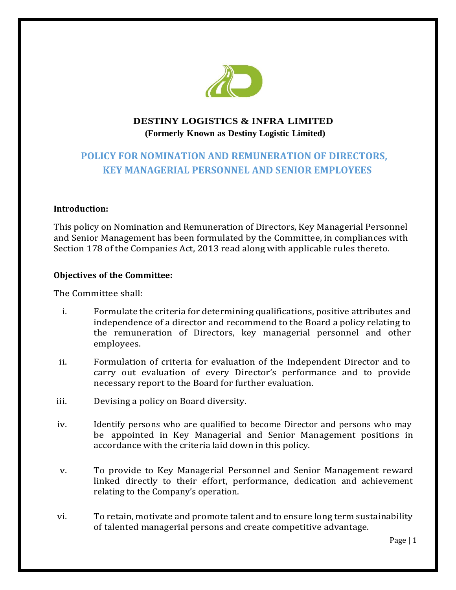

## **DESTINY LOGISTICS & INFRA LIMITED (Formerly Known as Destiny Logistic Limited)**

# **POLICY FOR NOMINATION AND REMUNERATION OF DIRECTORS, KEY MANAGERIAL PERSONNEL AND SENIOR EMPLOYEES**

#### **Introduction:**

This policy on Nomination and Remuneration of Directors, Key Managerial Personnel and Senior Management has been formulated by the Committee, in compliances with Section 178 of the Companies Act, 2013 read along with applicable rules thereto.

#### **Objectives of the Committee:**

The Committee shall:

- i. Formulate the criteria for determining qualifications, positive attributes and independence of a director and recommend to the Board a policy relating to the remuneration of Directors, key managerial personnel and other employees.
- ii. Formulation of criteria for evaluation of the Independent Director and to carry out evaluation of every Director's performance and to provide necessary report to the Board for further evaluation.
- iii. Devising a policy on Board diversity.
- iv. Identify persons who are qualified to become Director and persons who may be appointed in Key Managerial and Senior Management positions in accordance with the criteria laid down in this policy.
- v. To provide to Key Managerial Personnel and Senior Management reward linked directly to their effort, performance, dedication and achievement relating to the Company's operation.
- vi. To retain, motivate and promote talent and to ensure long term sustainability of talented managerial persons and create competitive advantage.

Page | 1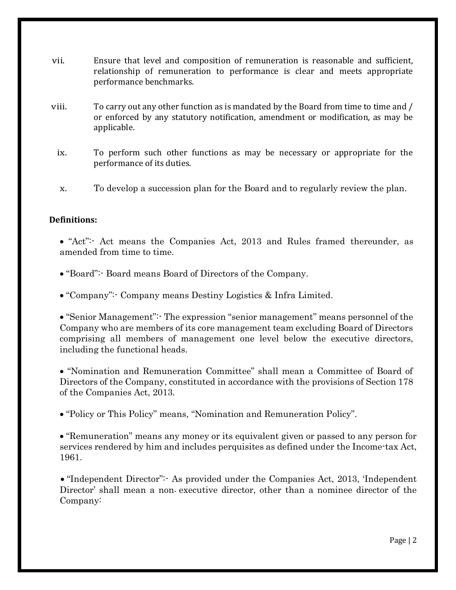- vii. Ensure that level and composition of remuneration is reasonable and sufficient, relationship of remuneration to performance is clear and meets appropriate performance benchmarks.
- viii. To carry out any other function as is mandated by the Board from time to time and / or enforced by any statutory notification, amendment or modification, as may be applicable.
	- ix. To perform such other functions as may be necessary or appropriate for the performance of its duties.
	- x. To develop a succession plan for the Board and to regularly review the plan.

#### **Definitions:**

 "Act":- Act means the Companies Act, 2013 and Rules framed thereunder, as amended from time to time.

- "Board":- Board means Board of Directors of the Company.
- "Company":- Company means Destiny Logistics & Infra Limited.

 "Senior Management":- The expression ''senior management'' means personnel of the Company who are members of its core management team excluding Board of Directors comprising all members of management one level below the executive directors, including the functional heads.

 "Nomination and Remuneration Committee" shall mean a Committee of Board of Directors of the Company, constituted in accordance with the provisions of Section 178 of the Companies Act, 2013.

"Policy or This Policy" means, "Nomination and Remuneration Policy".

 "Remuneration" means any money or its equivalent given or passed to any person for services rendered by him and includes perquisites as defined under the Income-tax Act, 1961.

• "Independent Director": As provided under the Companies Act, 2013, 'Independent Director' shall mean a non- executive director, other than a nominee director of the Company: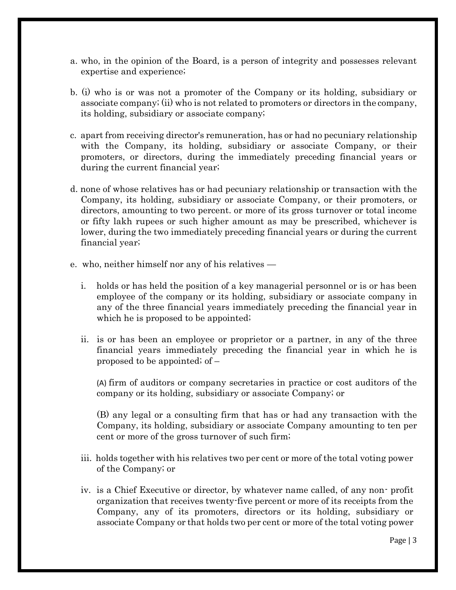- a. who, in the opinion of the Board, is a person of integrity and possesses relevant expertise and experience;
- b. (i) who is or was not a promoter of the Company or its holding, subsidiary or associate company; (ii) who is not related to promoters or directors in the company, its holding, subsidiary or associate company;
- c. apart from receiving director's remuneration, has or had no pecuniary relationship with the Company, its holding, subsidiary or associate Company, or their promoters, or directors, during the immediately preceding financial years or during the current financial year;
- d. none of whose relatives has or had pecuniary relationship or transaction with the Company, its holding, subsidiary or associate Company, or their promoters, or directors, amounting to two percent. or more of its gross turnover or total income or fifty lakh rupees or such higher amount as may be prescribed, whichever is lower, during the two immediately preceding financial years or during the current financial year;
- e. who, neither himself nor any of his relatives
	- i. holds or has held the position of a key managerial personnel or is or has been employee of the company or its holding, subsidiary or associate company in any of the three financial years immediately preceding the financial year in which he is proposed to be appointed;
	- ii. is or has been an employee or proprietor or a partner, in any of the three financial years immediately preceding the financial year in which he is proposed to be appointed; of –

(A) firm of auditors or company secretaries in practice or cost auditors of the company or its holding, subsidiary or associate Company; or

(B) any legal or a consulting firm that has or had any transaction with the Company, its holding, subsidiary or associate Company amounting to ten per cent or more of the gross turnover of such firm;

- iii. holds together with his relatives two per cent or more of the total voting power of the Company; or
- iv. is a Chief Executive or director, by whatever name called, of any non- profit organization that receives twenty-five percent or more of its receipts from the Company, any of its promoters, directors or its holding, subsidiary or associate Company or that holds two per cent or more of the total voting power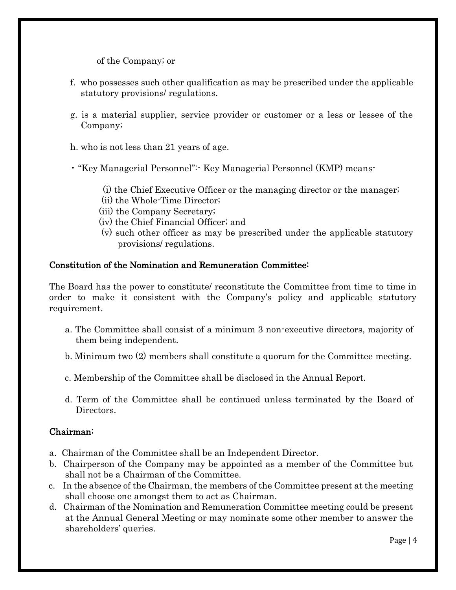of the Company; or

- f. who possesses such other qualification as may be prescribed under the applicable statutory provisions/ regulations.
- g. is a material supplier, service provider or customer or a less or lessee of the Company;
- h. who is not less than 21 years of age.
- "Key Managerial Personnel":- Key Managerial Personnel (KMP) means-
	- (i) the Chief Executive Officer or the managing director or the manager;
	- (ii) the Whole-Time Director;
	- (iii) the Company Secretary;
	- (iv) the Chief Financial Officer; and
	- (v) such other officer as may be prescribed under the applicable statutory provisions/ regulations.

## Constitution of the Nomination and Remuneration Committee:

The Board has the power to constitute/ reconstitute the Committee from time to time in order to make it consistent with the Company's policy and applicable statutory requirement.

- a. The Committee shall consist of a minimum 3 non-executive directors, majority of them being independent.
- b. Minimum two (2) members shall constitute a quorum for the Committee meeting.
- c. Membership of the Committee shall be disclosed in the Annual Report.
- d. Term of the Committee shall be continued unless terminated by the Board of Directors.

## Chairman:

- a. Chairman of the Committee shall be an Independent Director.
- b. Chairperson of the Company may be appointed as a member of the Committee but shall not be a Chairman of the Committee.
- c. In the absence of the Chairman, the members of the Committee present at the meeting shall choose one amongst them to act as Chairman.
- d. Chairman of the Nomination and Remuneration Committee meeting could be present at the Annual General Meeting or may nominate some other member to answer the shareholders' queries.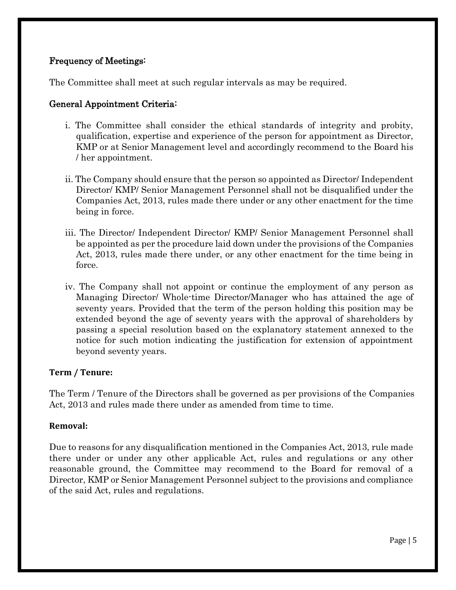## Frequency of Meetings:

The Committee shall meet at such regular intervals as may be required.

#### General Appointment Criteria:

- i. The Committee shall consider the ethical standards of integrity and probity, qualification, expertise and experience of the person for appointment as Director, KMP or at Senior Management level and accordingly recommend to the Board his / her appointment.
- ii. The Company should ensure that the person so appointed as Director/ Independent Director/ KMP/ Senior Management Personnel shall not be disqualified under the Companies Act, 2013, rules made there under or any other enactment for the time being in force.
- iii. The Director/ Independent Director/ KMP/ Senior Management Personnel shall be appointed as per the procedure laid down under the provisions of the Companies Act, 2013, rules made there under, or any other enactment for the time being in force.
- iv. The Company shall not appoint or continue the employment of any person as Managing Director/ Whole-time Director/Manager who has attained the age of seventy years. Provided that the term of the person holding this position may be extended beyond the age of seventy years with the approval of shareholders by passing a special resolution based on the explanatory statement annexed to the notice for such motion indicating the justification for extension of appointment beyond seventy years.

#### **Term / Tenure:**

The Term / Tenure of the Directors shall be governed as per provisions of the Companies Act, 2013 and rules made there under as amended from time to time.

#### **Removal:**

Due to reasons for any disqualification mentioned in the Companies Act, 2013, rule made there under or under any other applicable Act, rules and regulations or any other reasonable ground, the Committee may recommend to the Board for removal of a Director, KMP or Senior Management Personnel subject to the provisions and compliance of the said Act, rules and regulations.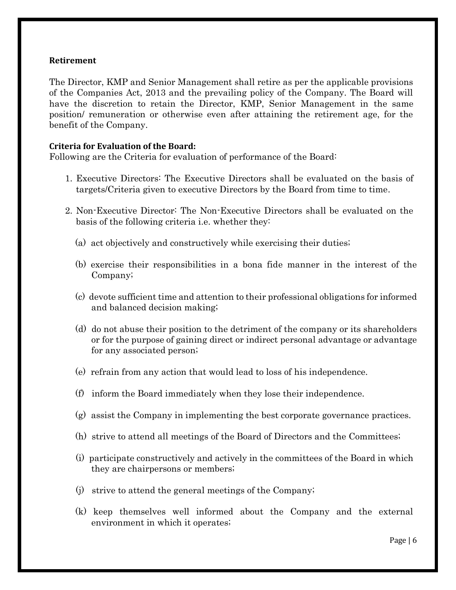#### **Retirement**

The Director, KMP and Senior Management shall retire as per the applicable provisions of the Companies Act, 2013 and the prevailing policy of the Company. The Board will have the discretion to retain the Director, KMP, Senior Management in the same position/ remuneration or otherwise even after attaining the retirement age, for the benefit of the Company.

#### **Criteria for Evaluation of the Board:**

Following are the Criteria for evaluation of performance of the Board:

- 1. Executive Directors: The Executive Directors shall be evaluated on the basis of targets/Criteria given to executive Directors by the Board from time to time.
- 2. Non-Executive Director: The Non-Executive Directors shall be evaluated on the basis of the following criteria i.e. whether they:
	- (a) act objectively and constructively while exercising their duties;
	- (b) exercise their responsibilities in a bona fide manner in the interest of the Company;
	- (c) devote sufficient time and attention to their professional obligations for informed and balanced decision making;
	- (d) do not abuse their position to the detriment of the company or its shareholders or for the purpose of gaining direct or indirect personal advantage or advantage for any associated person;
	- (e) refrain from any action that would lead to loss of his independence.
	- (f) inform the Board immediately when they lose their independence.
	- (g) assist the Company in implementing the best corporate governance practices.
	- (h) strive to attend all meetings of the Board of Directors and the Committees;
	- (i) participate constructively and actively in the committees of the Board in which they are chairpersons or members;
	- (j) strive to attend the general meetings of the Company;
	- (k) keep themselves well informed about the Company and the external environment in which it operates;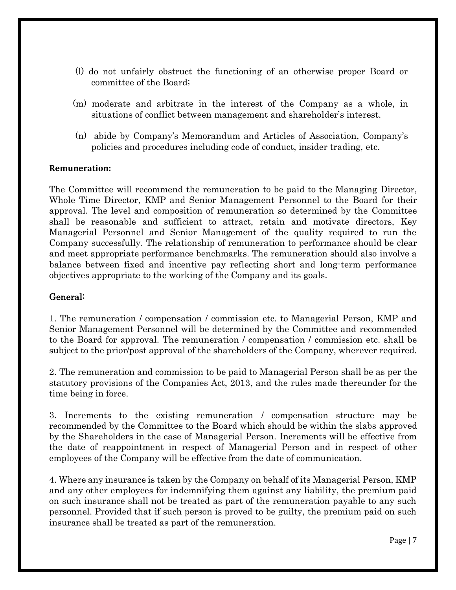- (l) do not unfairly obstruct the functioning of an otherwise proper Board or committee of the Board;
- (m) moderate and arbitrate in the interest of the Company as a whole, in situations of conflict between management and shareholder's interest.
- (n) abide by Company's Memorandum and Articles of Association, Company's policies and procedures including code of conduct, insider trading, etc.

## **Remuneration:**

The Committee will recommend the remuneration to be paid to the Managing Director, Whole Time Director, KMP and Senior Management Personnel to the Board for their approval. The level and composition of remuneration so determined by the Committee shall be reasonable and sufficient to attract, retain and motivate directors, Key Managerial Personnel and Senior Management of the quality required to run the Company successfully. The relationship of remuneration to performance should be clear and meet appropriate performance benchmarks. The remuneration should also involve a balance between fixed and incentive pay reflecting short and long-term performance objectives appropriate to the working of the Company and its goals.

#### General:

1. The remuneration / compensation / commission etc. to Managerial Person, KMP and Senior Management Personnel will be determined by the Committee and recommended to the Board for approval. The remuneration / compensation / commission etc. shall be subject to the prior/post approval of the shareholders of the Company, wherever required.

2. The remuneration and commission to be paid to Managerial Person shall be as per the statutory provisions of the Companies Act, 2013, and the rules made thereunder for the time being in force.

3. Increments to the existing remuneration / compensation structure may be recommended by the Committee to the Board which should be within the slabs approved by the Shareholders in the case of Managerial Person. Increments will be effective from the date of reappointment in respect of Managerial Person and in respect of other employees of the Company will be effective from the date of communication.

4. Where any insurance is taken by the Company on behalf of its Managerial Person, KMP and any other employees for indemnifying them against any liability, the premium paid on such insurance shall not be treated as part of the remuneration payable to any such personnel. Provided that if such person is proved to be guilty, the premium paid on such insurance shall be treated as part of the remuneration.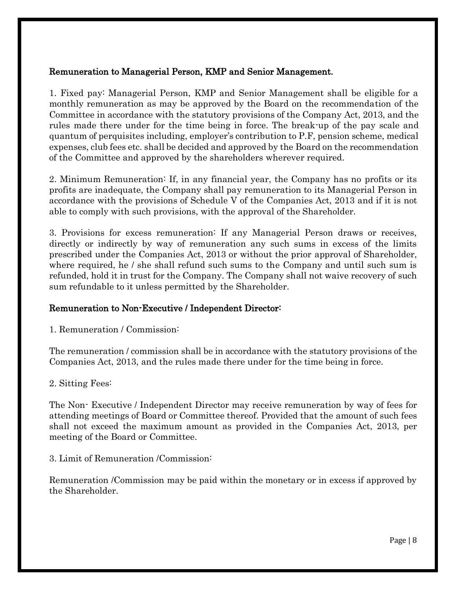## Remuneration to Managerial Person, KMP and Senior Management.

1. Fixed pay: Managerial Person, KMP and Senior Management shall be eligible for a monthly remuneration as may be approved by the Board on the recommendation of the Committee in accordance with the statutory provisions of the Company Act, 2013, and the rules made there under for the time being in force. The break-up of the pay scale and quantum of perquisites including, employer's contribution to P.F, pension scheme, medical expenses, club fees etc. shall be decided and approved by the Board on the recommendation of the Committee and approved by the shareholders wherever required.

2. Minimum Remuneration: If, in any financial year, the Company has no profits or its profits are inadequate, the Company shall pay remuneration to its Managerial Person in accordance with the provisions of Schedule V of the Companies Act, 2013 and if it is not able to comply with such provisions, with the approval of the Shareholder.

3. Provisions for excess remuneration: If any Managerial Person draws or receives, directly or indirectly by way of remuneration any such sums in excess of the limits prescribed under the Companies Act, 2013 or without the prior approval of Shareholder, where required, he / she shall refund such sums to the Company and until such sum is refunded, hold it in trust for the Company. The Company shall not waive recovery of such sum refundable to it unless permitted by the Shareholder.

## Remuneration to Non-Executive / Independent Director:

1. Remuneration / Commission:

The remuneration / commission shall be in accordance with the statutory provisions of the Companies Act, 2013, and the rules made there under for the time being in force.

2. Sitting Fees:

The Non- Executive / Independent Director may receive remuneration by way of fees for attending meetings of Board or Committee thereof. Provided that the amount of such fees shall not exceed the maximum amount as provided in the Companies Act, 2013, per meeting of the Board or Committee.

3. Limit of Remuneration /Commission:

Remuneration /Commission may be paid within the monetary or in excess if approved by the Shareholder.